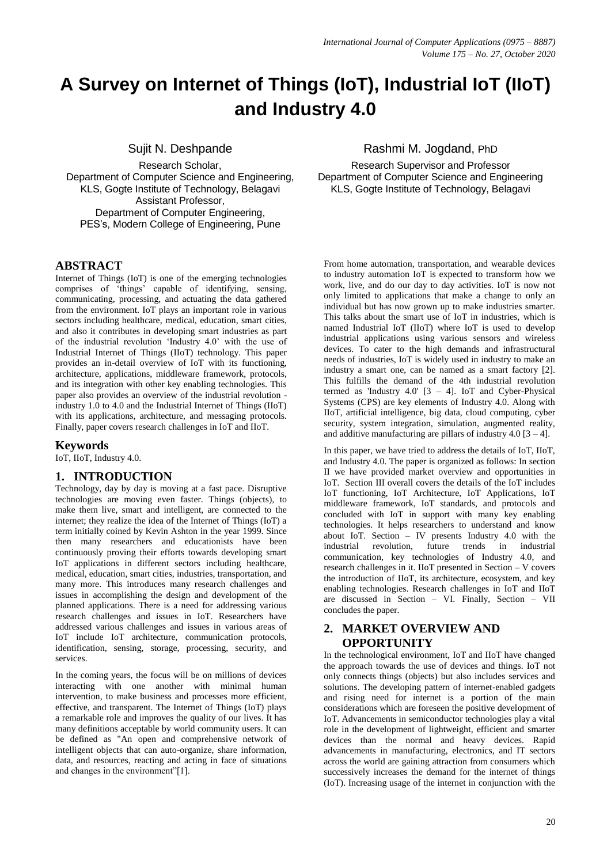# **A Survey on Internet of Things (IoT), Industrial IoT (IIoT) and Industry 4.0**

Sujit N. Deshpande

Research Scholar, Department of Computer Science and Engineering, KLS, Gogte Institute of Technology, Belagavi Assistant Professor, Department of Computer Engineering, PES's, Modern College of Engineering, Pune

## **ABSTRACT**

Internet of Things (IoT) is one of the emerging technologies comprises of 'things' capable of identifying, sensing, communicating, processing, and actuating the data gathered from the environment. IoT plays an important role in various sectors including healthcare, medical, education, smart cities, and also it contributes in developing smart industries as part of the industrial revolution 'Industry 4.0' with the use of Industrial Internet of Things (IIoT) technology. This paper provides an in-detail overview of IoT with its functioning, architecture, applications, middleware framework, protocols, and its integration with other key enabling technologies. This paper also provides an overview of the industrial revolution industry 1.0 to 4.0 and the Industrial Internet of Things (IIoT) with its applications, architecture, and messaging protocols. Finally, paper covers research challenges in IoT and IIoT.

#### **Keywords**

IoT, IIoT, Industry 4.0.

# **1. INTRODUCTION**

Technology, day by day is moving at a fast pace. Disruptive technologies are moving even faster. Things (objects), to make them live, smart and intelligent, are connected to the internet; they realize the idea of the Internet of Things (IoT) a term initially coined by Kevin Ashton in the year 1999. Since then many researchers and educationists have been continuously proving their efforts towards developing smart IoT applications in different sectors including healthcare, medical, education, smart cities, industries, transportation, and many more. This introduces many research challenges and issues in accomplishing the design and development of the planned applications. There is a need for addressing various research challenges and issues in IoT. Researchers have addressed various challenges and issues in various areas of IoT include IoT architecture, communication protocols, identification, sensing, storage, processing, security, and services.

In the coming years, the focus will be on millions of devices interacting with one another with minimal human intervention, to make business and processes more efficient, effective, and transparent. The Internet of Things (IoT) plays a remarkable role and improves the quality of our lives. It has many definitions acceptable by world community users. It can be defined as "An open and comprehensive network of intelligent objects that can auto-organize, share information, data, and resources, reacting and acting in face of situations and changes in the environment"[1].

# Rashmi M. Jogdand, PhD

Research Supervisor and Professor Department of Computer Science and Engineering KLS, Gogte Institute of Technology, Belagavi

From home automation, transportation, and wearable devices to industry automation IoT is expected to transform how we work, live, and do our day to day activities. IoT is now not only limited to applications that make a change to only an individual but has now grown up to make industries smarter. This talks about the smart use of IoT in industries, which is named Industrial IoT (IIoT) where IoT is used to develop industrial applications using various sensors and wireless devices. To cater to the high demands and infrastructural needs of industries, IoT is widely used in industry to make an industry a smart one, can be named as a smart factory [2]. This fulfills the demand of the 4th industrial revolution termed as 'Industry  $4.0'$  [3 – 4]. IoT and Cyber-Physical Systems (CPS) are key elements of Industry 4.0. Along with IIoT, artificial intelligence, big data, cloud computing, cyber security, system integration, simulation, augmented reality, and additive manufacturing are pillars of industry  $4.0$  [3 – 4].

In this paper, we have tried to address the details of IoT, IIoT, and Industry 4.0. The paper is organized as follows: In section II we have provided market overview and opportunities in IoT. Section III overall covers the details of the IoT includes IoT functioning, IoT Architecture, IoT Applications, IoT middleware framework, IoT standards, and protocols and concluded with IoT in support with many key enabling technologies. It helps researchers to understand and know about IoT. Section – IV presents Industry 4.0 with the industrial revolution, future trends in industrial communication, key technologies of Industry 4.0, and research challenges in it. IIoT presented in Section – V covers the introduction of IIoT, its architecture, ecosystem, and key enabling technologies. Research challenges in IoT and IIoT are discussed in Section – VI. Finally, Section – VII concludes the paper.

## **2. MARKET OVERVIEW AND OPPORTUNITY**

In the technological environment, IoT and IIoT have changed the approach towards the use of devices and things. IoT not only connects things (objects) but also includes services and solutions. The developing pattern of internet-enabled gadgets and rising need for internet is a portion of the main considerations which are foreseen the positive development of IoT. Advancements in semiconductor technologies play a vital role in the development of lightweight, efficient and smarter devices than the normal and heavy devices. Rapid advancements in manufacturing, electronics, and IT sectors across the world are gaining attraction from consumers which successively increases the demand for the internet of things (IoT). Increasing usage of the internet in conjunction with the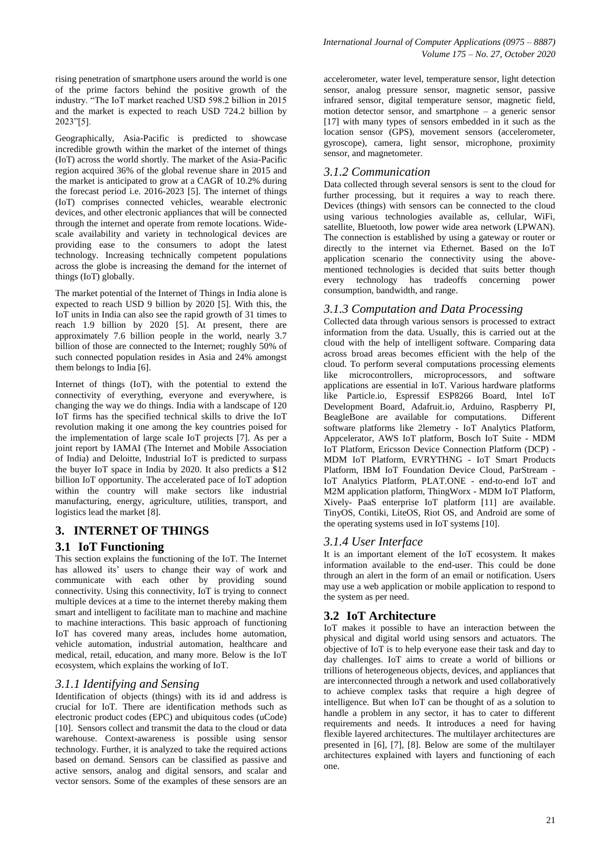rising penetration of smartphone users around the world is one of the prime factors behind the positive growth of the industry. "The IoT market reached USD 598.2 billion in 2015 and the market is expected to reach USD 724.2 billion by 2023"[5].

Geographically, Asia-Pacific is predicted to showcase incredible growth within the market of the internet of things (IoT) across the world shortly. The market of the Asia-Pacific region acquired 36% of the global revenue share in 2015 and the market is anticipated to grow at a CAGR of 10.2% during the forecast period i.e. 2016-2023 [5]. The internet of things (IoT) comprises connected vehicles, wearable electronic devices, and other electronic appliances that will be connected through the internet and operate from remote locations. Widescale availability and variety in technological devices are providing ease to the consumers to adopt the latest technology. Increasing technically competent populations across the globe is increasing the demand for the internet of things (IoT) globally.

The market potential of the Internet of Things in India alone is expected to reach USD 9 billion by 2020 [5]. With this, the IoT units in India can also see the rapid growth of 31 times to reach 1.9 billion by 2020 [5]. At present, there are approximately 7.6 billion people in the world, nearly 3.7 billion of those are connected to the Internet; roughly 50% of such connected population resides in Asia and 24% amongst them belongs to India [6].

Internet of things (IoT), with the potential to extend the connectivity of everything, everyone and everywhere, is changing the way we do things. India with a landscape of 120 IoT firms has the specified technical skills to drive the IoT revolution making it one among the key countries poised for the implementation of large scale IoT projects [7]. As per a joint report by IAMAI (The Internet and Mobile Association of India) and Deloitte, Industrial IoT is predicted to surpass the buyer IoT space in India by 2020. It also predicts a \$12 billion IoT opportunity. The accelerated pace of IoT adoption within the country will make sectors like industrial manufacturing, energy, agriculture, utilities, transport, and logistics lead the market [8].

#### **3. INTERNET OF THINGS**

#### **3.1 IoT Functioning**

This section explains the functioning of the IoT. The Internet has allowed its' users to change their way of work and communicate with each other by providing sound connectivity. Using this connectivity, IoT is trying to connect multiple devices at a time to the internet thereby making them smart and intelligent to facilitate man to machine and machine to machine interactions. This basic approach of functioning IoT has covered many areas, includes home automation, vehicle automation, industrial automation, healthcare and medical, retail, education, and many more. Below is the IoT ecosystem, which explains the working of IoT.

#### *3.1.1 Identifying and Sensing*

Identification of objects (things) with its id and address is crucial for IoT. There are identification methods such as electronic product codes (EPC) and ubiquitous codes (uCode) [10]. Sensors collect and transmit the data to the cloud or data warehouse. Context-awareness is possible using sensor technology. Further, it is analyzed to take the required actions based on demand. Sensors can be classified as passive and active sensors, analog and digital sensors, and scalar and vector sensors. Some of the examples of these sensors are an

accelerometer, water level, temperature sensor, light detection sensor, analog pressure sensor, magnetic sensor, passive infrared sensor, digital temperature sensor, magnetic field, motion detector sensor, and smartphone – a generic sensor [17] with many types of sensors embedded in it such as the location sensor (GPS), movement sensors (accelerometer, gyroscope), camera, light sensor, microphone, proximity sensor, and magnetometer.

## *3.1.2 Communication*

Data collected through several sensors is sent to the cloud for further processing, but it requires a way to reach there. Devices (things) with sensors can be connected to the cloud using various technologies available as, cellular, WiFi, satellite, Bluetooth, low power wide area network (LPWAN). The connection is established by using a gateway or router or directly to the internet via Ethernet. Based on the IoT application scenario the connectivity using the abovementioned technologies is decided that suits better though every technology has tradeoffs concerning power consumption, bandwidth, and range.

#### *3.1.3 Computation and Data Processing*

Collected data through various sensors is processed to extract information from the data. Usually, this is carried out at the cloud with the help of intelligent software. Comparing data across broad areas becomes efficient with the help of the cloud. To perform several computations processing elements like microcontrollers, microprocessors, and software applications are essential in IoT. Various hardware platforms like Particle.io, Espressif ESP8266 Board, Intel IoT Development Board, Adafruit.io, Arduino, Raspberry PI, BeagleBone are available for computations. Different software platforms like 2lemetry - IoT Analytics Platform, Appcelerator, AWS IoT platform, Bosch IoT Suite - MDM IoT Platform, Ericsson Device Connection Platform (DCP) - MDM IoT Platform, EVRYTHNG - IoT Smart Products Platform, IBM IoT Foundation Device Cloud, ParStream - IoT Analytics Platform, PLAT.ONE - end-to-end IoT and M2M application platform, ThingWorx - MDM IoT Platform, Xively- PaaS enterprise IoT platform [11] are available. TinyOS, Contiki, LiteOS, Riot OS, and Android are some of the operating systems used in IoT systems [10].

#### *3.1.4 User Interface*

It is an important element of the IoT ecosystem. It makes information available to the end-user. This could be done through an alert in the form of an email or notification. Users may use a web application or mobile application to respond to the system as per need.

#### **3.2 IoT Architecture**

IoT makes it possible to have an interaction between the physical and digital world using sensors and actuators. The objective of IoT is to help everyone ease their task and day to day challenges. IoT aims to create a world of billions or trillions of heterogeneous objects, devices, and appliances that are interconnected through a network and used collaboratively to achieve complex tasks that require a high degree of intelligence. But when IoT can be thought of as a solution to handle a problem in any sector, it has to cater to different requirements and needs. It introduces a need for having flexible layered architectures. The multilayer architectures are presented in [6], [7], [8]. Below are some of the multilayer architectures explained with layers and functioning of each one.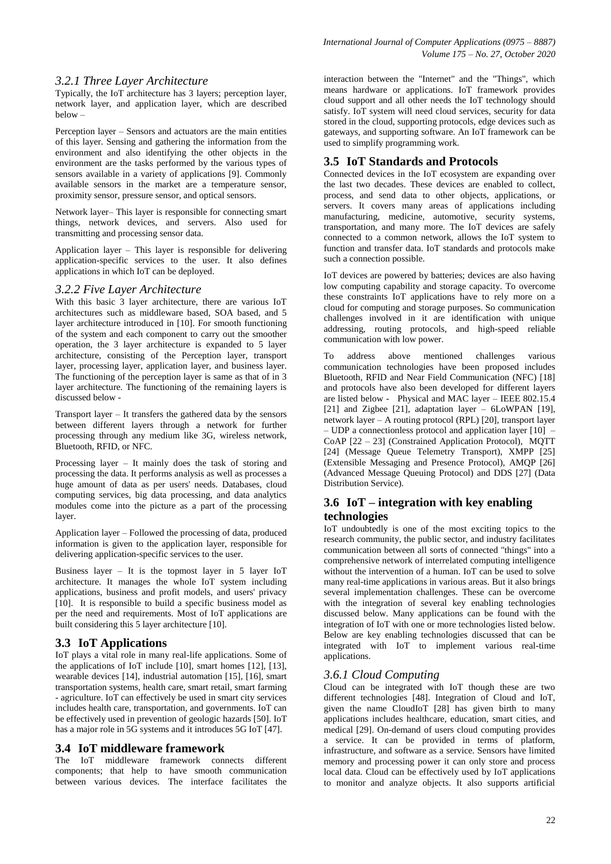#### *3.2.1 Three Layer Architecture*

Typically, the IoT architecture has 3 layers; perception layer, network layer, and application layer, which are described below –

Perception layer – Sensors and actuators are the main entities of this layer. Sensing and gathering the information from the environment and also identifying the other objects in the environment are the tasks performed by the various types of sensors available in a variety of applications [9]. Commonly available sensors in the market are a temperature sensor, proximity sensor, pressure sensor, and optical sensors.

Network layer– This layer is responsible for connecting smart things, network devices, and servers. Also used for transmitting and processing sensor data.

Application layer – This layer is responsible for delivering application-specific services to the user. It also defines applications in which IoT can be deployed.

#### *3.2.2 Five Layer Architecture*

With this basic 3 layer architecture, there are various IoT architectures such as middleware based, SOA based, and 5 layer architecture introduced in [10]. For smooth functioning of the system and each component to carry out the smoother operation, the 3 layer architecture is expanded to 5 layer architecture, consisting of the Perception layer, transport layer, processing layer, application layer, and business layer. The functioning of the perception layer is same as that of in 3 layer architecture. The functioning of the remaining layers is discussed below -

Transport layer – It transfers the gathered data by the sensors between different layers through a network for further processing through any medium like 3G, wireless network, Bluetooth, RFID, or NFC.

Processing layer – It mainly does the task of storing and processing the data. It performs analysis as well as processes a huge amount of data as per users' needs. Databases, cloud computing services, big data processing, and data analytics modules come into the picture as a part of the processing layer.

Application layer – Followed the processing of data, produced information is given to the application layer, responsible for delivering application-specific services to the user.

Business layer – It is the topmost layer in 5 layer IoT architecture. It manages the whole IoT system including applications, business and profit models, and users' privacy [10]. It is responsible to build a specific business model as per the need and requirements. Most of IoT applications are built considering this 5 layer architecture [10].

#### **3.3 IoT Applications**

IoT plays a vital role in many real-life applications. Some of the applications of IoT include [10], smart homes [12], [13], wearable devices [14], industrial automation [15], [16], smart transportation systems, health care, smart retail, smart farming - agriculture. IoT can effectively be used in smart city services includes health care, transportation, and governments. IoT can be effectively used in prevention of geologic hazards [50]. IoT has a major role in 5G systems and it introduces 5G IoT [47].

#### **3.4 IoT middleware framework**

The IoT middleware framework connects different components; that help to have smooth communication between various devices. The interface facilitates the

interaction between the "Internet" and the "Things", which means hardware or applications. IoT framework provides cloud support and all other needs the IoT technology should satisfy. IoT system will need cloud services, security for data stored in the cloud, supporting protocols, edge devices such as gateways, and supporting software. An IoT framework can be used to simplify programming work.

#### **3.5 IoT Standards and Protocols**

Connected devices in the IoT ecosystem are expanding over the last two decades. These devices are enabled to collect, process, and send data to other objects, applications, or servers. It covers many areas of applications including manufacturing, medicine, automotive, security systems, transportation, and many more. The IoT devices are safely connected to a common network, allows the IoT system to function and transfer data. IoT standards and protocols make such a connection possible.

IoT devices are powered by batteries; devices are also having low computing capability and storage capacity. To overcome these constraints IoT applications have to rely more on a cloud for computing and storage purposes. So communication challenges involved in it are identification with unique addressing, routing protocols, and high-speed reliable communication with low power.

To address above mentioned challenges various communication technologies have been proposed includes Bluetooth, RFID and Near Field Communication (NFC) [18] and protocols have also been developed for different layers are listed below - Physical and MAC layer – IEEE 802.15.4 [21] and Zigbee [21], adaptation layer – 6LoWPAN [19], network layer – A routing protocol (RPL) [20], transport layer – UDP a connectionless protocol and application layer [10] – CoAP [22 – 23] (Constrained Application Protocol), MQTT [24] (Message Queue Telemetry Transport), XMPP [25] (Extensible Messaging and Presence Protocol), AMQP [26] (Advanced Message Queuing Protocol) and DDS [27] (Data Distribution Service).

### **3.6 IoT – integration with key enabling technologies**

IoT undoubtedly is one of the most exciting topics to the research community, the public sector, and industry facilitates communication between all sorts of connected "things" into a comprehensive network of interrelated computing intelligence without the intervention of a human. IoT can be used to solve many real-time applications in various areas. But it also brings several implementation challenges. These can be overcome with the integration of several key enabling technologies discussed below. Many applications can be found with the integration of IoT with one or more technologies listed below. Below are key enabling technologies discussed that can be integrated with IoT to implement various real-time applications.

#### *3.6.1 Cloud Computing*

Cloud can be integrated with IoT though these are two different technologies [48]. Integration of Cloud and IoT, given the name CloudIoT [28] has given birth to many applications includes healthcare, education, smart cities, and medical [29]. On-demand of users cloud computing provides a service. It can be provided in terms of platform, infrastructure, and software as a service. Sensors have limited memory and processing power it can only store and process local data. Cloud can be effectively used by IoT applications to monitor and analyze objects. It also supports artificial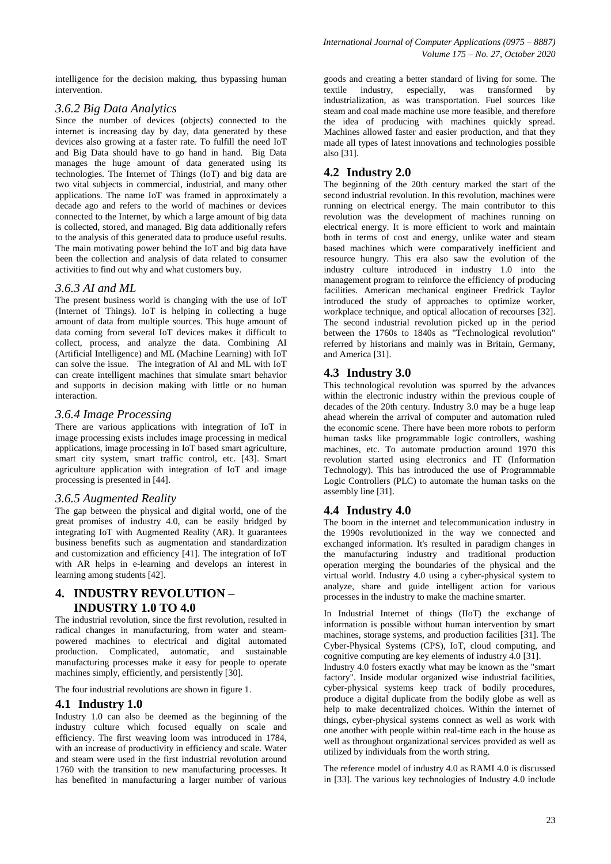intelligence for the decision making, thus bypassing human intervention.

### *3.6.2 Big Data Analytics*

Since the number of devices (objects) connected to the internet is increasing day by day, data generated by these devices also growing at a faster rate. To fulfill the need IoT and Big Data should have to go hand in hand. Big Data manages the huge amount of data generated using its technologies. The Internet of Things (IoT) and big data are two vital subjects in commercial, industrial, and many other applications. The name IoT was framed in approximately a decade ago and refers to the world of machines or devices connected to the Internet, by which a large amount of big data is collected, stored, and managed. Big data additionally refers to the analysis of this generated data to produce useful results. The main motivating power behind the IoT and big data have been the collection and analysis of data related to consumer activities to find out why and what customers buy.

#### *3.6.3 AI and ML*

The present business world is changing with the use of IoT (Internet of Things). IoT is helping in collecting a huge amount of data from multiple sources. This huge amount of data coming from several IoT devices makes it difficult to collect, process, and analyze the data. Combining [AI](https://www.clariontech.com/platform-blog/artificial-intelligence-in-business-is-bound-to-impact-your-business)  [\(Artificial Intelligence\)](https://www.clariontech.com/platform-blog/artificial-intelligence-in-business-is-bound-to-impact-your-business) and ML (Machine Learning) with IoT can solve the issue. The integration of AI and ML with IoT can create intelligent machines that simulate smart behavior and supports in decision making with little or no human interaction.

#### *3.6.4 Image Processing*

There are various applications with integration of IoT in image processing exists includes image processing in medical applications, image processing in IoT based smart agriculture, smart city system, smart traffic control, etc. [43]. Smart agriculture application with integration of IoT and image processing is presented in [44].

#### *3.6.5 Augmented Reality*

The gap between the physical and digital world, one of the great promises of industry 4.0, can be easily bridged by integrating IoT with Augmented Reality (AR). It guarantees business benefits such as augmentation and standardization and customization and efficiency [41]. The integration of IoT with AR helps in e-learning and develops an interest in learning among students [42].

## **4. INDUSTRY REVOLUTION – INDUSTRY 1.0 TO 4.0**

The industrial revolution, since the first revolution, resulted in radical changes in manufacturing, from water and steampowered machines to electrical and digital automated production. Complicated, automatic, and sustainable manufacturing processes make it easy for people to operate machines simply, efficiently, and persistently [30].

The four industrial revolutions are shown in figure 1.

#### **4.1 Industry 1.0**

Industry 1.0 can also be deemed as the beginning of the industry culture which focused equally on scale and efficiency. The first weaving loom was introduced in 1784, with an increase of productivity in efficiency and scale. Water and steam were used in the first industrial revolution around 1760 with the transition to new manufacturing processes. It has benefited in manufacturing a larger number of various

goods and creating a better standard of living for some. The textile industry, especially, was transformed by industrialization, as was transportation. Fuel sources like steam and coal made machine use more feasible, and therefore the idea of producing with machines quickly spread. Machines allowed faster and easier production, and that they made all types of latest innovations and technologies possible also [31].

# **4.2 Industry 2.0**

The beginning of the 20th century marked the start of the second industrial revolution. In this revolution, machines were running on electrical energy. The main contributor to this revolution was the development of machines running on electrical energy. It is more efficient to work and maintain both in terms of cost and energy, unlike water and steam based machines which were comparatively inefficient and resource hungry. This era also saw the evolution of the industry culture introduced in industry 1.0 into the management program to reinforce the efficiency of producing facilities. American mechanical engineer Fredrick Taylor introduced the study of approaches to optimize worker, workplace technique, and optical allocation of recourses [32]. The second industrial revolution picked up in the period between the 1760s to 1840s as "Technological revolution" referred by historians and mainly was in Britain, Germany, and America [31].

## **4.3 Industry 3.0**

This technological revolution was spurred by the advances within the electronic industry within the previous couple of decades of the 20th century. Industry 3.0 may be a huge leap ahead wherein the arrival of computer and automation ruled the economic scene. There have been more robots to perform human tasks like programmable logic controllers, washing machines, etc. To automate production around 1970 this revolution started using electronics and IT (Information Technology). This has introduced the use of Programmable Logic Controllers (PLC) to automate the human tasks on the assembly line [31].

# **4.4 Industry 4.0**

The boom in the internet and telecommunication industry in the 1990s revolutionized in the way we connected and exchanged information. It's resulted in paradigm changes in the manufacturing industry and traditional production operation merging the boundaries of the physical and the virtual world. Industry 4.0 using a cyber-physical system to analyze, share and guide intelligent action for various processes in the industry to make the machine smarter.

In Industrial Internet of things (IIoT) the exchange of information is possible without human intervention by smart machines, storage systems, and production facilities [31]. The Cyber-Physical Systems (CPS), IoT, cloud computing, and cognitive computing are key elements of industry 4.0 [31].

Industry 4.0 fosters exactly what may be known as the "smart factory". Inside modular organized wise industrial facilities, cyber-physical systems keep track of bodily procedures, produce a digital duplicate from the bodily globe as well as help to make decentralized choices. Within the internet of things, cyber-physical systems connect as well as work with one another with people within real-time each in the house as well as throughout organizational services provided as well as utilized by individuals from the worth string.

The reference model of industry 4.0 as RAMI 4.0 is discussed in [33]. The various key technologies of Industry 4.0 include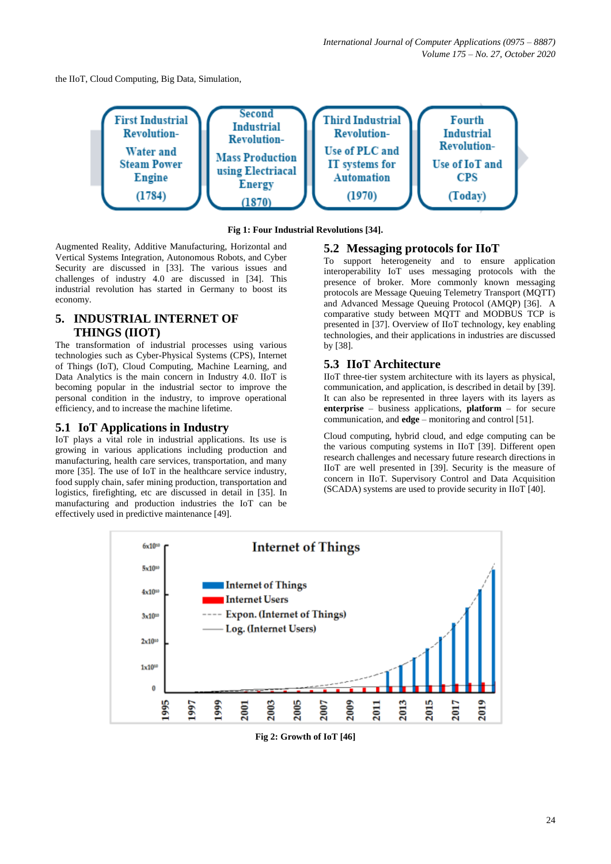the IIoT, Cloud Computing, Big Data, Simulation,



**Fig 1: Four Industrial Revolutions [34].**

Augmented Reality, Additive Manufacturing, Horizontal and Vertical Systems Integration, Autonomous Robots, and Cyber Security are discussed in [33]. The various issues and challenges of industry 4.0 are discussed in [34]. This industrial revolution has started in Germany to boost its economy.

# **5. INDUSTRIAL INTERNET OF THINGS (IIOT)**

The transformation of industrial processes using various technologies such as Cyber-Physical Systems (CPS), Internet of Things (IoT), Cloud Computing, Machine Learning, and Data Analytics is the main concern in Industry 4.0. IIoT is becoming popular in the industrial sector to improve the personal condition in the industry, to improve operational efficiency, and to increase the machine lifetime.

## **5.1 IoT Applications in Industry**

IoT plays a vital role in industrial applications. Its use is growing in various applications including production and manufacturing, health care services, transportation, and many more [35]. The use of IoT in the healthcare service industry, food supply chain, safer mining production, transportation and logistics, firefighting, etc are discussed in detail in [35]. In manufacturing and production industries the IoT can be effectively used in predictive maintenance [49].

# **5.2 Messaging protocols for IIoT**

To support heterogeneity and to ensure application interoperability IoT uses messaging protocols with the presence of broker. More commonly known messaging protocols are Message Queuing Telemetry Transport (MQTT) and Advanced Message Queuing Protocol (AMQP) [36]. A comparative study between MQTT and MODBUS TCP is presented in [37]. Overview of IIoT technology, key enabling technologies, and their applications in industries are discussed by [38].

# **5.3 IIoT Architecture**

IIoT three-tier system architecture with its layers as physical, communication, and application, is described in detail by [39]. It can also be represented in three layers with its layers as **enterprise** – business applications, **platform** – for secure communication, and **edge** – monitoring and control [51].

Cloud computing, hybrid cloud, and edge computing can be the various computing systems in IIoT [39]. Different open research challenges and necessary future research directions in IIoT are well presented in [39]. Security is the measure of concern in IIoT. Supervisory Control and Data Acquisition (SCADA) systems are used to provide security in IIoT [40].



**Fig 2: Growth of IoT [46]**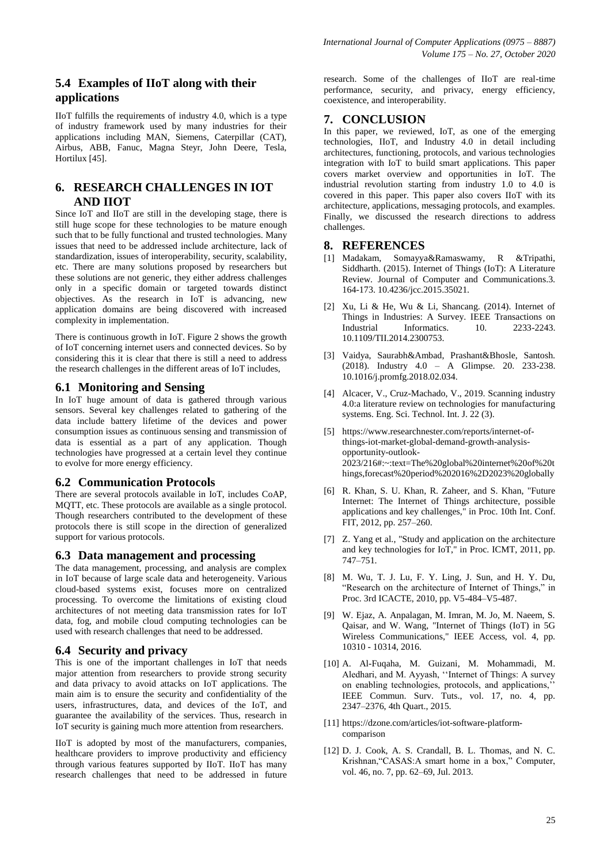# **5.4 Examples of IIoT along with their applications**

IIoT fulfills the requirements of industry 4.0, which is a type of industry framework used by many industries for their applications including MAN, Siemens, Caterpillar (CAT), Airbus, ABB, Fanuc, Magna Steyr, John Deere, Tesla, Hortilux [45].

# **6. RESEARCH CHALLENGES IN IOT AND IIOT**

Since IoT and IIoT are still in the developing stage, there is still huge scope for these technologies to be mature enough such that to be fully functional and trusted technologies. Many issues that need to be addressed include architecture, lack of standardization, issues of interoperability, security, scalability, etc. There are many solutions proposed by researchers but these solutions are not generic, they either address challenges only in a specific domain or targeted towards distinct objectives. As the research in IoT is advancing, new application domains are being discovered with increased complexity in implementation.

There is continuous growth in IoT. Figure 2 shows the growth of IoT concerning internet users and connected devices. So by considering this it is clear that there is still a need to address the research challenges in the different areas of IoT includes,

# **6.1 Monitoring and Sensing**

In IoT huge amount of data is gathered through various sensors. Several key challenges related to gathering of the data include battery lifetime of the devices and power consumption issues as continuous sensing and transmission of data is essential as a part of any application. Though technologies have progressed at a certain level they continue to evolve for more energy efficiency.

#### **6.2 Communication Protocols**

There are several protocols available in IoT, includes CoAP, MQTT, etc. These protocols are available as a single protocol. Though researchers contributed to the development of these protocols there is still scope in the direction of generalized support for various protocols.

## **6.3 Data management and processing**

The data management, processing, and analysis are complex in IoT because of large scale data and heterogeneity. Various cloud-based systems exist, focuses more on centralized processing. To overcome the limitations of existing cloud architectures of not meeting data transmission rates for IoT data, fog, and mobile cloud computing technologies can be used with research challenges that need to be addressed.

#### **6.4 Security and privacy**

This is one of the important challenges in IoT that needs major attention from researchers to provide strong security and data privacy to avoid attacks on IoT applications. The main aim is to ensure the security and confidentiality of the users, infrastructures, data, and devices of the IoT, and guarantee the availability of the services. Thus, research in IoT security is gaining much more attention from researchers.

IIoT is adopted by most of the manufacturers, companies, healthcare providers to improve productivity and efficiency through various features supported by IIoT. IIoT has many research challenges that need to be addressed in future

research. Some of the challenges of IIoT are real-time performance, security, and privacy, energy efficiency, coexistence, and interoperability.

## **7. CONCLUSION**

In this paper, we reviewed, IoT, as one of the emerging technologies, IIoT, and Industry 4.0 in detail including architectures, functioning, protocols, and various technologies integration with IoT to build smart applications. This paper covers market overview and opportunities in IoT. The industrial revolution starting from industry 1.0 to 4.0 is covered in this paper. This paper also covers IIoT with its architecture, applications, messaging protocols, and examples. Finally, we discussed the research directions to address challenges.

#### **8. REFERENCES**

- [1] Madakam, Somayya&Ramaswamy, R &Tripathi, Siddharth. (2015). Internet of Things (IoT): A Literature Review. Journal of Computer and Communications.3. 164-173. 10.4236/jcc.2015.35021.
- [2] Xu, Li & He, Wu & Li, Shancang. (2014). Internet of Things in Industries: A Survey. IEEE Transactions on Industrial Informatics. 10. 2233-2243. 10.1109/TII.2014.2300753.
- [3] Vaidya, Saurabh&Ambad, Prashant&Bhosle, Santosh. (2018). Industry 4.0 – A Glimpse. 20. 233-238. 10.1016/j.promfg.2018.02.034.
- [4] Alcacer, V., Cruz-Machado, V., 2019. Scanning industry 4.0:a literature review on technologies for manufacturing systems. Eng. Sci. Technol. Int. J. 22 (3).
- [5] https://www.researchnester.com/reports/internet-ofthings-iot-market-global-demand-growth-analysisopportunity-outlook-2023/216#:~:text=The%20global%20internet%20of%20t hings,forecast%20period%202016%2D2023%20globally
- [6] R. Khan, S. U. Khan, R. Zaheer, and S. Khan, "Future Internet: The Internet of Things architecture, possible applications and key challenges," in Proc. 10th Int. Conf. FIT, 2012, pp. 257–260.
- [7] Z. Yang et al., "Study and application on the architecture and key technologies for IoT," in Proc. ICMT, 2011, pp. 747–751.
- [8] M. Wu, T. J. Lu, F. Y. Ling, J. Sun, and H. Y. Du, "Research on the architecture of Internet of Things," in Proc. 3rd ICACTE, 2010, pp. V5-484–V5-487.
- [9] W. Ejaz, A. Anpalagan, M. Imran, M. Jo, M. Naeem, S. Qaisar, and W. Wang, "Internet of Things (IoT) in 5G Wireless Communications," IEEE Access, vol. 4, pp. 10310 - 10314, 2016.
- [10] A. Al-Fuqaha, M. Guizani, M. Mohammadi, M. Aledhari, and M. Ayyash, ''Internet of Things: A survey on enabling technologies, protocols, and applications,'' IEEE Commun. Surv. Tuts., vol. 17, no. 4, pp. 2347–2376, 4th Quart., 2015.
- [11] [https://dzone.com/articles/iot-software-platform](https://dzone.com/articles/iot-software-platform-comparison)[comparison](https://dzone.com/articles/iot-software-platform-comparison)
- [12] D. J. Cook, A. S. Crandall, B. L. Thomas, and N. C. Krishnan,"CASAS:A smart home in a box," Computer, vol. 46, no. 7, pp. 62–69, Jul. 2013.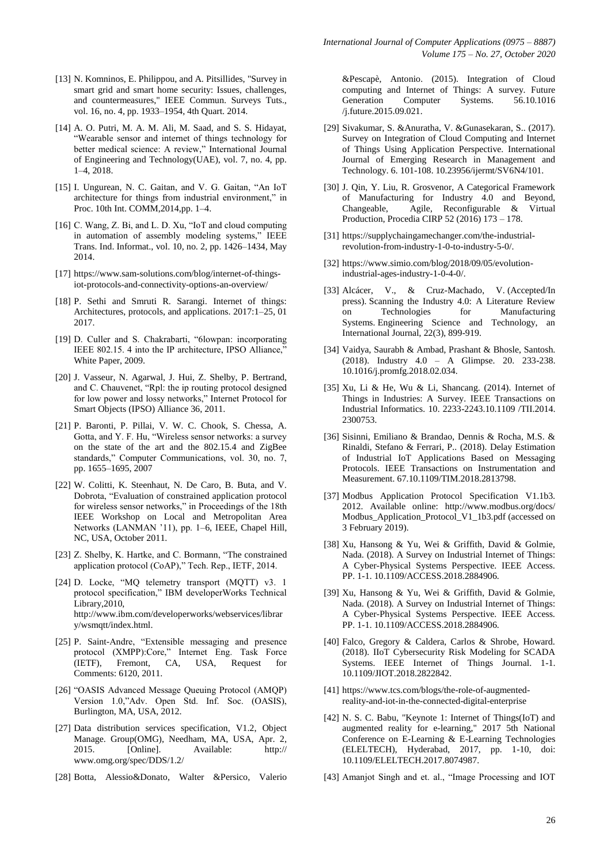- [13] N. Komninos, E. Philippou, and A. Pitsillides, "Survey in smart grid and smart home security: Issues, challenges, and countermeasures," IEEE Commun. Surveys Tuts., vol. 16, no. 4, pp. 1933–1954, 4th Quart. 2014.
- [14] A. O. Putri, M. A. M. Ali, M. Saad, and S. S. Hidayat, "Wearable sensor and internet of things technology for better medical science: A review," International Journal of Engineering and Technology(UAE), vol. 7, no. 4, pp. 1–4, 2018.
- [15] I. Ungurean, N. C. Gaitan, and V. G. Gaitan, "An IoT architecture for things from industrial environment," in Proc. 10th Int. COMM,2014,pp. 1–4.
- [16] C. Wang, Z. Bi, and L. D. Xu, "IoT and cloud computing in automation of assembly modeling systems," IEEE Trans. Ind. Informat., vol. 10, no. 2, pp. 1426–1434, May 2014.
- [17] [https://www.sam-solutions.com/blog/internet-of-things](https://www.sam-solutions.com/blog/internet-of-things-iot-protocols-and-connectivity-options-an-overview/)[iot-protocols-and-connectivity-options-an-overview/](https://www.sam-solutions.com/blog/internet-of-things-iot-protocols-and-connectivity-options-an-overview/)
- [18] P. Sethi and Smruti R. Sarangi. Internet of things: Architectures, protocols, and applications. 2017:1–25, 01 2017.
- [19] D. Culler and S. Chakrabarti, "6lowpan: incorporating IEEE 802.15. 4 into the IP architecture, IPSO Alliance, White Paper, 2009.
- [20] J. Vasseur, N. Agarwal, J. Hui, Z. Shelby, P. Bertrand, and C. Chauvenet, "Rpl: the ip routing protocol designed for low power and lossy networks," Internet Protocol for Smart Objects (IPSO) Alliance 36, 2011.
- [21] P. Baronti, P. Pillai, V. W. C. Chook, S. Chessa, A. Gotta, and Y. F. Hu, "Wireless sensor networks: a survey on the state of the art and the 802.15.4 and ZigBee standards," Computer Communications, vol. 30, no. 7, pp. 1655–1695, 2007
- [22] W. Colitti, K. Steenhaut, N. De Caro, B. Buta, and V. Dobrota, "Evaluation of constrained application protocol for wireless sensor networks," in Proceedings of the 18th IEEE Workshop on Local and Metropolitan Area Networks (LANMAN '11), pp. 1–6, IEEE, Chapel Hill, NC, USA, October 2011.
- [23] Z. Shelby, K. Hartke, and C. Bormann, "The constrained application protocol (CoAP)," Tech. Rep., IETF, 2014.
- [24] D. Locke, "MQ telemetry transport (MQTT) v3. 1 protocol specification," IBM developerWorks Technical Library,2010, http://www.ibm.com/developerworks/webservices/librar y/wsmqtt/index.html.
- [25] P. Saint-Andre, "Extensible messaging and presence protocol (XMPP):Core," Internet Eng. Task Force (IETF), Fremont, CA, USA, Request for Comments: 6120, 2011.
- [26] "OASIS Advanced Message Queuing Protocol (AMQP) Version 1.0,"Adv. Open Std. Inf. Soc. (OASIS), Burlington, MA, USA, 2012.
- [27] Data distribution services specification, V1.2, Object Manage. Group(OMG), Needham, MA, USA, Apr. 2, 2015. [Online]. Available: http:// [www.omg.org/spec/DDS/1.2/](http://www.omg.org/spec/DDS/1.2/)
- [28] Botta, Alessio&Donato, Walter &Persico, Valerio

&Pescapè, Antonio. (2015). Integration of Cloud computing and Internet of Things: A survey. Future Generation Computer Systems. 56.10.1016 /j.future.2015.09.021.

- [29] Sivakumar, S. &Anuratha, V. &Gunasekaran, S.. (2017). Survey on Integration of Cloud Computing and Internet of Things Using Application Perspective. International Journal of Emerging Research in Management and Technology. 6. 101-108. 10.23956/ijermt/SV6N4/101.
- [30] J. Qin, Y. Liu, R. Grosvenor, A Categorical Framework of Manufacturing for Industry 4.0 and Beyond, Changeable, Agile, Reconfigurable & Virtual Production, Procedia CIRP 52 (2016) 173 – 178.
- [31] [https://supplychaingamechanger.com/the-industrial](https://supplychaingamechanger.com/the-industrial-revolution-from-industry-1-0-to-industry-5-0/)[revolution-from-industry-1-0-to-industry-5-0/.](https://supplychaingamechanger.com/the-industrial-revolution-from-industry-1-0-to-industry-5-0/)
- [32] [https://www.simio.com/blog/2018/09/05/evolution](https://www.simio.com/blog/2018/09/05/evolution-industrial-ages-industry-1-0-4-0/)[industrial-ages-industry-1-0-4-0/.](https://www.simio.com/blog/2018/09/05/evolution-industrial-ages-industry-1-0-4-0/)
- [33] Alcácer, V., & Cruz-Machado, V. (Accepted/In press). Scanning the Industry 4.0: A Literature Review on Technologies for Manufacturing Systems. Engineering Science and Technology, an International Journal, 22(3), 899-919.
- [34] Vaidya, Saurabh & Ambad, Prashant & Bhosle, Santosh. (2018). Industry 4.0 – A Glimpse. 20. 233-238. 10.1016/j.promfg.2018.02.034.
- [35] Xu, Li & He, Wu & Li, Shancang. (2014). Internet of Things in Industries: A Survey. IEEE Transactions on Industrial Informatics. 10. 2233-2243.10.1109 /TII.2014. 2300753.
- [36] Sisinni, Emiliano & Brandao, Dennis & Rocha, M.S. & Rinaldi, Stefano & Ferrari, P.. (2018). Delay Estimation of Industrial IoT Applications Based on Messaging Protocols. IEEE Transactions on Instrumentation and Measurement. 67.10.1109/TIM.2018.2813798.
- [37] Modbus Application Protocol Specification V1.1b3. 2012. Available online: http://www.modbus.org/docs/ Modbus\_Application\_Protocol\_V1\_1b3.pdf (accessed on 3 February 2019).
- [38] Xu, Hansong & Yu, Wei & Griffith, David & Golmie, Nada. (2018). A Survey on Industrial Internet of Things: A Cyber-Physical Systems Perspective. IEEE Access. PP. 1-1. 10.1109/ACCESS.2018.2884906.
- [39] Xu, Hansong & Yu, Wei & Griffith, David & Golmie, Nada. (2018). A Survey on Industrial Internet of Things: A Cyber-Physical Systems Perspective. IEEE Access. PP. 1-1. 10.1109/ACCESS.2018.2884906.
- [40] Falco, Gregory & Caldera, Carlos & Shrobe, Howard. (2018). IIoT Cybersecurity Risk Modeling for SCADA Systems. IEEE Internet of Things Journal. 1-1. 10.1109/JIOT.2018.2822842.
- [41] [https://www.tcs.com/blogs/the-role-of-augmented](https://www.tcs.com/blogs/the-role-of-augmented-reality-and-iot-in-the-connected-digital-enterprise)[reality-and-iot-in-the-connected-digital-enterprise](https://www.tcs.com/blogs/the-role-of-augmented-reality-and-iot-in-the-connected-digital-enterprise)
- [42] N. S. C. Babu, "Keynote 1: Internet of Things(IoT) and augmented reality for e-learning," 2017 5th National Conference on E-Learning & E-Learning Technologies (ELELTECH), Hyderabad, 2017, pp. 1-10, doi: 10.1109/ELELTECH.2017.8074987.
- [43] Amanjot Singh and et. al., "Image Processing and IOT